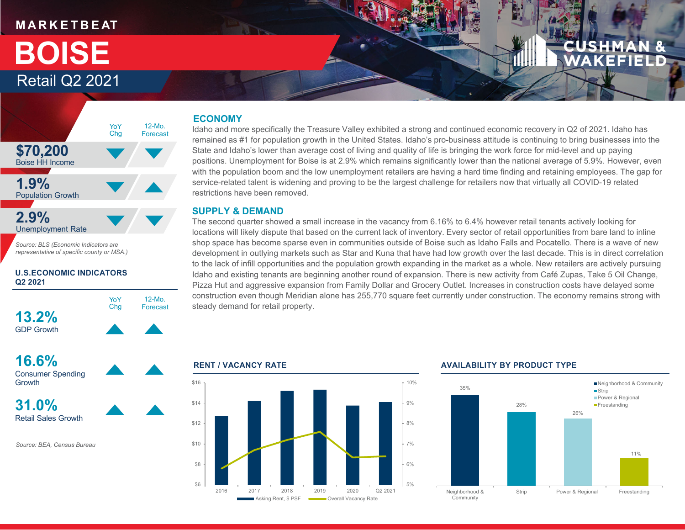### **M A R K E T B E AT**

## Retail Q2 2021 **BOISE**



*Source: BLS (Economic Indicators are representative of specific county or MSA.)*

#### **U.S.ECONOMIC INDICATORS Q2 2021**





*Source: BEA, Census Bureau*

#### **ECONOMY**

Idaho and more specifically the Treasure Valley exhibited a strong and continued economic recovery in Q2 of 2021. Idaho has remained as #1 for population growth in the United States. Idaho's pro-business attitude is continuing to bring businesses into the State and Idaho's lower than average cost of living and quality of life is bringing the work force for mid-level and up paying positions. Unemployment for Boise is at 2.9% which remains significantly lower than the national average of 5.9%. However, even with the population boom and the low unemployment retailers are having a hard time finding and retaining employees. The gap for service-related talent is widening and proving to be the largest challenge for retailers now that virtually all COVID-19 related restrictions have been removed.

#### **SUPPLY & DEMAND**

The second quarter showed a small increase in the vacancy from 6.16% to 6.4% however retail tenants actively looking for locations will likely dispute that based on the current lack of inventory. Every sector of retail opportunities from bare land to inline shop space has become sparse even in communities outside of Boise such as Idaho Falls and Pocatello. There is a wave of new development in outlying markets such as Star and Kuna that have had low growth over the last decade. This is in direct correlation to the lack of infill opportunities and the population growth expanding in the market as a whole. New retailers are actively pursuing Idaho and existing tenants are beginning another round of expansion. There is new activity from Café Zupas, Take 5 Oil Change, Pizza Hut and aggressive expansion from Family Dollar and Grocery Outlet. Increases in construction costs have delayed some construction even though Meridian alone has 255,770 square feet currently under construction. The economy remains strong with steady demand for retail property.



#### **RENT / VACANCY RATE AVAILABILITY BY PRODUCT TYPE**

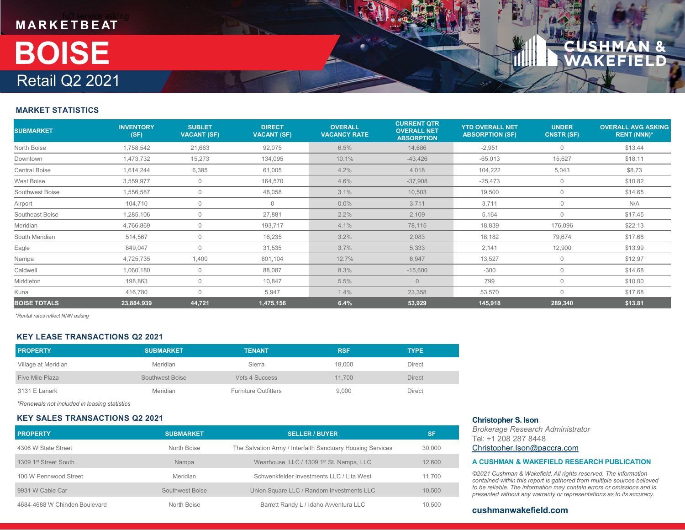# **M A R K E T B E AT** Retail Q2 2021 **BOISE**

#### **MARKET STATISTICS**

| <b>SUBMARKET</b>     | <b>INVENTORY</b><br>(SF) | <b>SUBLET</b><br><b>VACANT (SF)</b> | <b>DIRECT</b><br><b>VACANT (SF)</b> | <b>OVERALL</b><br><b>VACANCY RATE</b> | <b>CURRENT QTR</b><br><b>OVERALL NET</b><br><b>ABSORPTION</b> | <b>YTD OVERALL NET</b><br><b>ABSORPTION (SF)</b> | <b>UNDER</b><br><b>CNSTR (SF)</b> | <b>OVERALL AVG ASKING</b><br><b>RENT (NNN)*</b> |
|----------------------|--------------------------|-------------------------------------|-------------------------------------|---------------------------------------|---------------------------------------------------------------|--------------------------------------------------|-----------------------------------|-------------------------------------------------|
| North Boise          | 1,758,542                | 21,663                              | 92,075                              | 6.5%                                  | 14,686                                                        | $-2,951$                                         | $\mathbf 0$                       | \$13.44                                         |
| Downtown             | 1,473,732                | 15,273                              | 134,095                             | 10.1%                                 | $-43,426$                                                     | $-65,013$                                        | 15,627                            | \$18.11                                         |
| <b>Central Boise</b> | 1,614,244                | 6,385                               | 61,005                              | 4.2%                                  | 4,018                                                         | 104,222                                          | 5,043                             | \$8.73                                          |
| West Boise           | 3,559,977                | $\mathbf 0$                         | 164,570                             | 4.6%                                  | $-37,908$                                                     | $-25,473$                                        | $\mathbf 0$                       | \$10.82                                         |
| Southwest Boise      | 1,556,587                | $\mathbf 0$                         | 48,058                              | 3.1%                                  | 10,503                                                        | 19,500                                           | $\mathbf 0$                       | \$14.65                                         |
| Airport              | 104,710                  | $\mathbf 0$                         | $\mathbf{0}$                        | $0.0\%$                               | 3,711                                                         | 3,711                                            | $\mathbf 0$                       | N/A                                             |
| Southeast Boise      | 1,285,106                | $\Omega$                            | 27,881                              | 2.2%                                  | 2,109                                                         | 5,164                                            | $\mathbf 0$                       | \$17.45                                         |
| Meridian             | 4,766,869                | $\Omega$                            | 193,717                             | 4.1%                                  | 78,115                                                        | 18,839                                           | 176,096                           | \$22.13                                         |
| South Meridian       | 514,567                  | $\mathbf 0$                         | 16,235                              | 3.2%                                  | 2,083                                                         | 18,182                                           | 79,674                            | \$17.68                                         |
| Eagle                | 849,047                  | $\Omega$                            | 31,535                              | 3.7%                                  | 5,333                                                         | 2,141                                            | 12,900                            | \$13.99                                         |
| Nampa                | 4,725,735                | 1,400                               | 601,104                             | 12.7%                                 | 6,947                                                         | 13,527                                           | $\mathbf 0$                       | \$12.97                                         |
| Caldwell             | 1,060,180                | 0                                   | 88,087                              | 8.3%                                  | $-15,600$                                                     | $-300$                                           | $\mathbf 0$                       | \$14.68                                         |
| Middleton            | 198,863                  | $\Omega$                            | 10,847                              | 5.5%                                  | $\Omega$                                                      | 799                                              | $\overline{0}$                    | \$10.00                                         |
| Kuna                 | 416,780                  | $\Omega$                            | 5,947                               | 1.4%                                  | 23,358                                                        | 53,570                                           | $\Omega$                          | \$17.68                                         |
| <b>BOISE TOTALS</b>  | 23,884,939               | 44,721                              | 1,475,156                           | 6.4%                                  | 53,929                                                        | 145,918                                          | 289,340                           | \$13.81                                         |

*\*Rental rates reflect NNN asking*

#### **KEY LEASE TRANSACTIONS Q2 2021**

| <b>PROPERTY</b>     | <b>SUBMARKET</b> | <b>TENANT</b>               | <b>RSF</b> | <b>TYPE</b>   |
|---------------------|------------------|-----------------------------|------------|---------------|
| Village at Meridian | Meridian         | Sierra                      | 18,000     | Direct        |
| Five Mile Plaza     | Southwest Boise  | Vets 4 Success              | 11.700     | <b>Direct</b> |
| 3131 E Lanark       | Meridian         | <b>Furniture Outfitters</b> | 9.000      | Direct        |

*\*Renewals not included in leasing statistics*

#### **KEY SALES TRANSACTIONS Q2 2021**

| <b>PROPERTY</b>               | <b>SUBMARKET</b> | <b>SELLER / BUYER</b>                                      | <b>SF</b> |
|-------------------------------|------------------|------------------------------------------------------------|-----------|
| 4306 W State Street           | North Boise      | The Salvation Army / Interfaith Sanctuary Housing Services | 30,000    |
| 1309 1st Street South         | Nampa            | Wearhouse, LLC / 1309 1 <sup>st</sup> St. Nampa, LLC       | 12,600    |
| 100 W Pennwood Street         | Meridian         | Schwenkfelder Investments LLC / Lita West                  | 11.700    |
| 9931 W Cable Car              | Southwest Boise  | Union Square LLC / Random Investments LLC                  | 10.500    |
| 4684-4688 W Chinden Boulevard | North Boise      | Barrett Randy L / Idaho Avventura LLC                      | 10.500    |

#### **Christopher S. Ison**

*Brokerage Research Administrator* Tel: +1 208 287 8448Christopher.Ison@paccra.com

#### **A CUSHMAN & WAKEFIELD RESEARCH PUBLICATION**

*©2021 Cushman & Wakefield. All rights reserved. The information contained within this report is gathered from multiple sources believed to be reliable. The information may contain errors or omissions and is presented without any warranty or representations as to its accuracy.*

#### **cushmanwakefield.com**